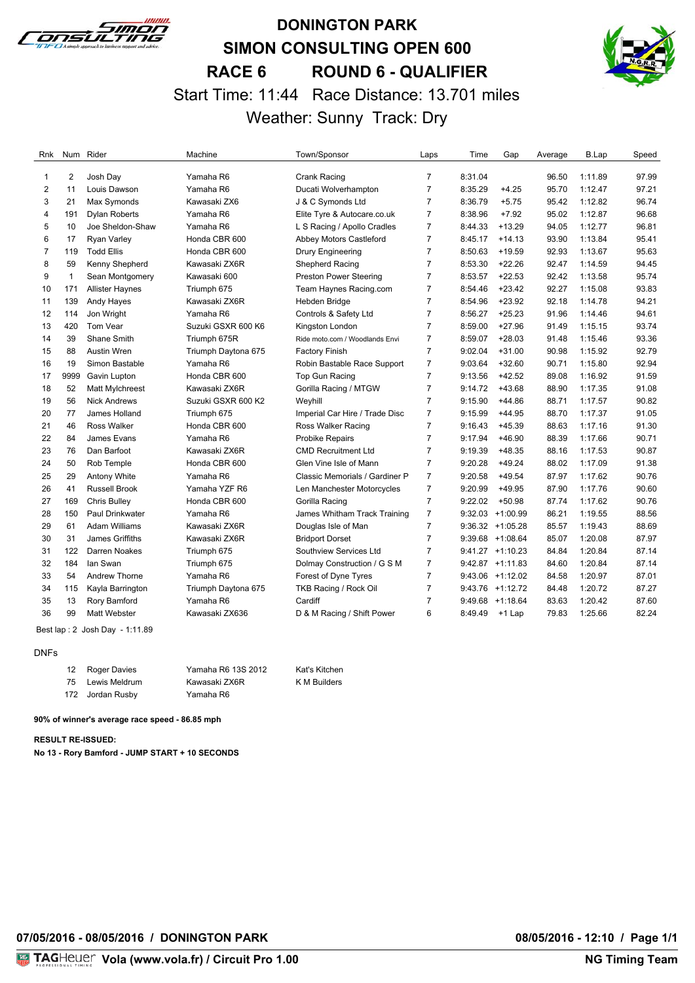

### **DONINGTON PARK SIMON CONSULTING OPEN 600 RACE 6 ROUND 6 - QUALIFIER** Start Time: 11:44 Race Distance: 13.701 miles Weather: Sunny Track: Dry



| Rnk            |              | Num Rider              | Machine             | Town/Sponsor                   | Laps           | Time    | Gap                | Average | B.Lap   | Speed |
|----------------|--------------|------------------------|---------------------|--------------------------------|----------------|---------|--------------------|---------|---------|-------|
| 1              | 2            | Josh Day               | Yamaha R6           | Crank Racing                   | $\overline{7}$ | 8:31.04 |                    | 96.50   | 1:11.89 | 97.99 |
| 2              | 11           | Louis Dawson           | Yamaha R6           | Ducati Wolverhampton           | $\overline{7}$ | 8:35.29 | $+4.25$            | 95.70   | 1:12.47 | 97.21 |
| 3              | 21           | Max Symonds            | Kawasaki ZX6        | J & C Symonds Ltd              | $\overline{7}$ | 8:36.79 | $+5.75$            | 95.42   | 1:12.82 | 96.74 |
| 4              | 191          | <b>Dylan Roberts</b>   | Yamaha R6           | Elite Tyre & Autocare.co.uk    | $\overline{7}$ | 8:38.96 | $+7.92$            | 95.02   | 1:12.87 | 96.68 |
| 5              | 10           | Joe Sheldon-Shaw       | Yamaha R6           | L S Racing / Apollo Cradles    | $\overline{7}$ | 8:44.33 | $+13.29$           | 94.05   | 1:12.77 | 96.81 |
| 6              | 17           | <b>Ryan Varley</b>     | Honda CBR 600       | Abbey Motors Castleford        | $\overline{7}$ | 8:45.17 | $+14.13$           | 93.90   | 1:13.84 | 95.41 |
| $\overline{7}$ | 119          | <b>Todd Ellis</b>      | Honda CBR 600       | <b>Drury Engineering</b>       | $\overline{7}$ | 8:50.63 | $+19.59$           | 92.93   | 1:13.67 | 95.63 |
| 8              | 59           | Kenny Shepherd         | Kawasaki ZX6R       | Shepherd Racing                | $\overline{7}$ | 8:53.30 | $+22.26$           | 92.47   | 1:14.59 | 94.45 |
| 9              | $\mathbf{1}$ | Sean Montgomery        | Kawasaki 600        | <b>Preston Power Steering</b>  | $\overline{7}$ | 8:53.57 | $+22.53$           | 92.42   | 1:13.58 | 95.74 |
| 10             | 171          | <b>Allister Haynes</b> | Triumph 675         | Team Haynes Racing.com         | $\overline{7}$ | 8:54.46 | $+23.42$           | 92.27   | 1:15.08 | 93.83 |
| 11             | 139          | Andy Hayes             | Kawasaki ZX6R       | Hebden Bridge                  | $\overline{7}$ | 8:54.96 | $+23.92$           | 92.18   | 1:14.78 | 94.21 |
| 12             | 114          | Jon Wright             | Yamaha R6           | Controls & Safety Ltd          | $\overline{7}$ | 8:56.27 | $+25.23$           | 91.96   | 1:14.46 | 94.61 |
| 13             | 420          | Tom Vear               | Suzuki GSXR 600 K6  | Kingston London                | $\overline{7}$ | 8:59.00 | $+27.96$           | 91.49   | 1:15.15 | 93.74 |
| 14             | 39           | Shane Smith            | Triumph 675R        | Ride moto.com / Woodlands Envi | $\overline{7}$ | 8:59.07 | $+28.03$           | 91.48   | 1:15.46 | 93.36 |
| 15             | 88           | <b>Austin Wren</b>     | Triumph Daytona 675 | Factory Finish                 | $\overline{7}$ | 9:02.04 | $+31.00$           | 90.98   | 1:15.92 | 92.79 |
| 16             | 19           | Simon Bastable         | Yamaha R6           | Robin Bastable Race Support    | $\overline{7}$ | 9:03.64 | $+32.60$           | 90.71   | 1:15.80 | 92.94 |
| 17             | 9999         | Gavin Lupton           | Honda CBR 600       | Top Gun Racing                 | $\overline{7}$ | 9:13.56 | $+42.52$           | 89.08   | 1:16.92 | 91.59 |
| 18             | 52           | Matt Mylchreest        | Kawasaki ZX6R       | Gorilla Racing / MTGW          | $\overline{7}$ | 9:14.72 | $+43.68$           | 88.90   | 1:17.35 | 91.08 |
| 19             | 56           | <b>Nick Andrews</b>    | Suzuki GSXR 600 K2  | Weyhill                        | $\overline{7}$ | 9:15.90 | $+44.86$           | 88.71   | 1:17.57 | 90.82 |
| 20             | 77           | James Holland          | Triumph 675         | Imperial Car Hire / Trade Disc | $\overline{7}$ | 9:15.99 | $+44.95$           | 88.70   | 1:17.37 | 91.05 |
| 21             | 46           | <b>Ross Walker</b>     | Honda CBR 600       | Ross Walker Racing             | $\overline{7}$ | 9:16.43 | $+45.39$           | 88.63   | 1:17.16 | 91.30 |
| 22             | 84           | James Evans            | Yamaha R6           | <b>Probike Repairs</b>         | $\overline{7}$ | 9:17.94 | $+46.90$           | 88.39   | 1:17.66 | 90.71 |
| 23             | 76           | Dan Barfoot            | Kawasaki ZX6R       | <b>CMD Recruitment Ltd</b>     | $\overline{7}$ | 9:19.39 | $+48.35$           | 88.16   | 1:17.53 | 90.87 |
| 24             | 50           | Rob Temple             | Honda CBR 600       | Glen Vine Isle of Mann         | $\overline{7}$ | 9:20.28 | $+49.24$           | 88.02   | 1:17.09 | 91.38 |
| 25             | 29           | Antony White           | Yamaha R6           | Classic Memorials / Gardiner P | $\overline{7}$ | 9:20.58 | $+49.54$           | 87.97   | 1:17.62 | 90.76 |
| 26             | 41           | <b>Russell Brook</b>   | Yamaha YZF R6       | Len Manchester Motorcycles     | $\overline{7}$ | 9:20.99 | $+49.95$           | 87.90   | 1:17.76 | 90.60 |
| 27             | 169          | <b>Chris Bulley</b>    | Honda CBR 600       | Gorilla Racing                 | $\overline{7}$ | 9:22.02 | $+50.98$           | 87.74   | 1:17.62 | 90.76 |
| 28             | 150          | Paul Drinkwater        | Yamaha R6           | James Whitham Track Training   | $\overline{7}$ |         | 9:32.03 +1:00.99   | 86.21   | 1:19.55 | 88.56 |
| 29             | 61           | <b>Adam Williams</b>   | Kawasaki ZX6R       | Douglas Isle of Man            | $\overline{7}$ |         | $9:36.32 +1:05.28$ | 85.57   | 1:19.43 | 88.69 |
| 30             | 31           | <b>James Griffiths</b> | Kawasaki ZX6R       | <b>Bridport Dorset</b>         | $\overline{7}$ |         | $9:39.68$ +1:08.64 | 85.07   | 1:20.08 | 87.97 |
| 31             | 122          | Darren Noakes          | Triumph 675         | Southview Services Ltd         | $\overline{7}$ |         | $9:41.27 +1:10.23$ | 84.84   | 1:20.84 | 87.14 |
| 32             | 184          | lan Swan               | Triumph 675         | Dolmay Construction / G S M    | $\overline{7}$ |         | $9:42.87$ +1:11.83 | 84.60   | 1:20.84 | 87.14 |
| 33             | 54           | Andrew Thorne          | Yamaha R6           | Forest of Dyne Tyres           | $\overline{7}$ |         | $9:43.06$ +1:12.02 | 84.58   | 1:20.97 | 87.01 |
| 34             | 115          | Kayla Barrington       | Triumph Daytona 675 | TKB Racing / Rock Oil          | 7              |         | $9:43.76$ +1:12.72 | 84.48   | 1:20.72 | 87.27 |
| 35             | 13           | Rory Bamford           | Yamaha R6           | Cardiff                        | $\overline{7}$ |         | 9:49.68 +1:18.64   | 83.63   | 1:20.42 | 87.60 |
| 36             | 99           | <b>Matt Webster</b>    | Kawasaki ZX636      | D & M Racing / Shift Power     | 6              | 8:49.49 | $+1$ Lap           | 79.83   | 1:25.66 | 82.24 |

Best lap : 2 Josh Day - 1:11.89

#### DNFs

| 12 | Roger Davies     | Yamaha R6 13S 2012 | Kat's Kitchen |
|----|------------------|--------------------|---------------|
| 75 | Lewis Meldrum    | Kawasaki ZX6R      | K M Builders  |
|    | 172 Jordan Rusby | Yamaha R6          |               |

**90% of winner's average race speed - 86.85 mph**

**RESULT RE-ISSUED:**

**No 13 - Rory Bamford - JUMP START + 10 SECONDS**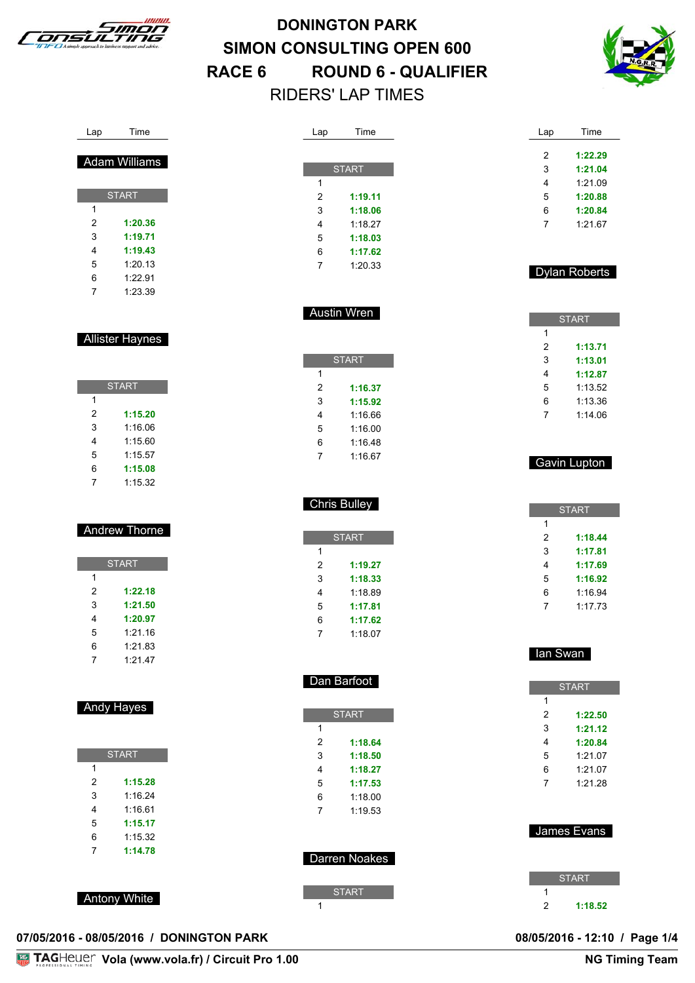



| l ime<br>an<br>__ |
|-------------------|
|-------------------|

| <b>START</b> |         |  |  |  |  |
|--------------|---------|--|--|--|--|
| 1            |         |  |  |  |  |
| 2            | 1:20.36 |  |  |  |  |
| 3            | 1:19.71 |  |  |  |  |
| 4            | 1:19.43 |  |  |  |  |
| 5            | 1:20.13 |  |  |  |  |
| 6            | 1:22.91 |  |  |  |  |
|              | 1:23.39 |  |  |  |  |

Allister Haynes

|   | <b>START</b> |
|---|--------------|
| 1 |              |
| 2 | 1:15.20      |
| 3 | 1:16.06      |
|   | 1:15.60      |

1:15.57

 **1:15.08** 1:15.32

### Andrew Thorne

| <b>START</b> |         |  |  |  |
|--------------|---------|--|--|--|
| 1            |         |  |  |  |
| 2            | 1:22.18 |  |  |  |
| 3            | 1:21.50 |  |  |  |
| 4            | 1:20.97 |  |  |  |
| 5            | 1:21.16 |  |  |  |
| 6            | 1:21.83 |  |  |  |
| 7            | 1:21.47 |  |  |  |

#### Andy Hayes

| <b>START</b> |         |  |  |  |
|--------------|---------|--|--|--|
| 1            |         |  |  |  |
| 2            | 1:15.28 |  |  |  |
| 3            | 1:16.24 |  |  |  |
| 4            | 1:16.61 |  |  |  |
| 5            | 1:15.17 |  |  |  |
| 6            | 1:15.32 |  |  |  |
| 7            | 1:14.78 |  |  |  |

Antony White

| 07/05/2016 - 08/05/2016 / DONINGTON PARK | 08/05/2016 - 12:10 / Page 1/4 |  |
|------------------------------------------|-------------------------------|--|

| Lap | Time         |
|-----|--------------|
|     |              |
|     | <b>START</b> |
| 1   |              |
| 2   | 1:19.11      |
| 3   | 1:18.06      |
| 4   | 1:18.27      |
| 5   | 1:18.03      |
| 6   | 1:17.62      |
| 7   | 1:20.33      |
|     |              |

Austin Wren

**START** 

 **1:16.37 1:15.92** 1:16.66 1:16.00 1:16.48 1:16.67

Chris Bulley

**START** 

 **1:19.27 1:18.33** 1:18.89 **1:17.81 1:17.62** 1:18.07

Dan Barfoot

**START** 

 **1:18.64 1:18.50 1:18.27 1:17.53** 1:18.00 1:19.53

Darren Noakes

**START** 

| Time    |
|---------|
|         |
| 1:22.29 |
| 1:21.04 |
| 1:21.09 |
| 1:20.88 |
| 1:20.84 |
| 1:2167  |
|         |

#### Dylan Roberts

| <b>START</b> |         |  |  |  |
|--------------|---------|--|--|--|
| 1            |         |  |  |  |
| 2            | 1:13.71 |  |  |  |
| 3            | 1:13.01 |  |  |  |
| 4            | 1:12.87 |  |  |  |
| 5            | 1:13.52 |  |  |  |
| 6            | 1:13.36 |  |  |  |
|              | 1:14.06 |  |  |  |

#### Gavin Lupton

| <b>START</b> |         |  |
|--------------|---------|--|
| 1            |         |  |
| 2            | 1:18.44 |  |
| 3            | 1:17.81 |  |
| 4            | 1:17.69 |  |
| 5            | 1:16.92 |  |
| 6            | 1:16.94 |  |
|              | 1:17.73 |  |

#### Ian Swan

|   | <b>START</b> |
|---|--------------|
| 1 |              |
| 2 | 1:22.50      |
| 3 | 1:21.12      |
| 4 | 1:20.84      |
| 5 | 1:21.07      |
| 6 | 1:21.07      |
| 7 | 1:21.28      |
|   |              |

# James Evans I

| <b>START</b> |         |  |
|--------------|---------|--|
|              |         |  |
| 2            | 1:18.52 |  |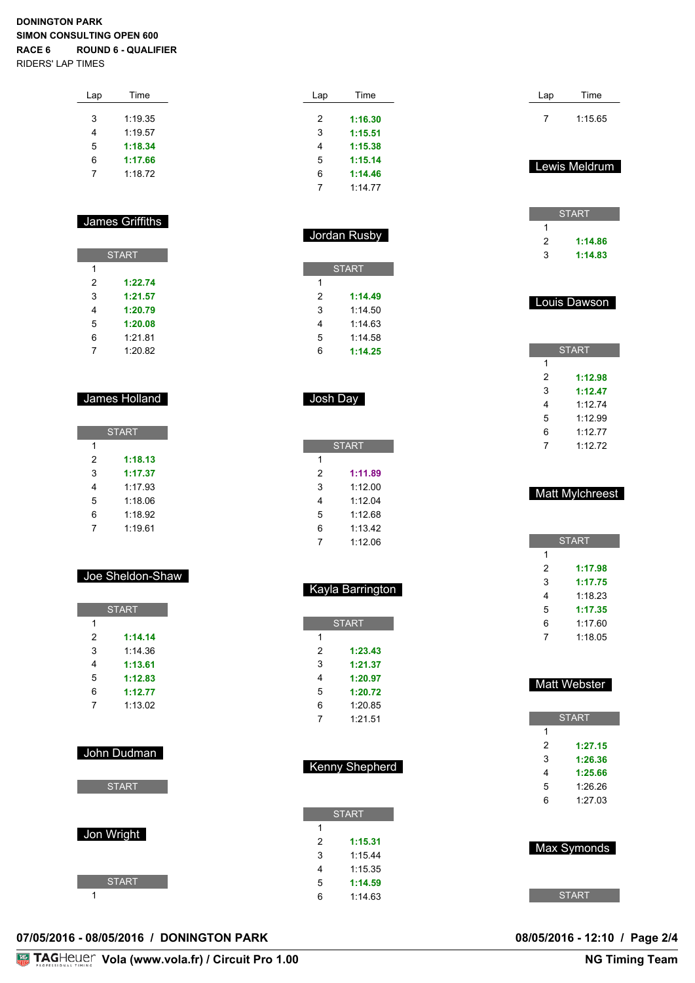| Lap | Time    |  |
|-----|---------|--|
|     |         |  |
| 3   | 1:19.35 |  |
| 4   | 1:19.57 |  |
| 5   | 1:18.34 |  |
| 6   | 1:17.66 |  |
| 7   | 1:18.72 |  |
|     |         |  |

#### James Griffiths

| <b>START</b> |         |  |
|--------------|---------|--|
| 1            |         |  |
| 2            | 1:22.74 |  |
| 3            | 1:21.57 |  |
| 4            | 1:20.79 |  |
| 5            | 1:20.08 |  |
| 6            | 1:21.81 |  |
|              | 1:20.82 |  |

#### James Holland

| <b>START</b> |         |  |
|--------------|---------|--|
| 1            |         |  |
| 2            | 1:18.13 |  |
| 3            | 1:17.37 |  |
| 4            | 1:17.93 |  |
| 5            | 1:18.06 |  |
| 6            | 1:18.92 |  |
| 7            | 1:19.61 |  |

#### Joe Sheldon-Shaw

|   | <b>START</b> |
|---|--------------|
| 1 |              |
| 2 | 1:14.14      |
| 3 | 1:14.36      |
| 4 | 1:13.61      |
| 5 | 1:12.83      |
| 6 | 1:12.77      |
| 7 | 1:13.02      |
|   |              |

#### John Dudman

**START** 

| Jon Wright |              |  |  |
|------------|--------------|--|--|
|            | <b>START</b> |  |  |
|            |              |  |  |

| Lap | Time    |
|-----|---------|
|     |         |
| 2   | 1:16.30 |
| 3   | 1:15.51 |
| 4   | 1:15.38 |
| 5   | 1:15.14 |
| 6   | 1:14.46 |
|     | 1:14.77 |

|   | <b>START</b> |
|---|--------------|
| 1 |              |
| 2 | 1:14.49      |
| 3 | 1.14.50      |
| 4 | 1:14.63      |
| 5 | 1.14.58      |
| հ | 1:14.25      |

Jordan Rusby

#### Josh Day

| <b>START</b> |         |  |
|--------------|---------|--|
| 1            |         |  |
| 2            | 1:11.89 |  |
| 3            | 1:12.00 |  |
| 4            | 1:12.04 |  |
| 5            | 1.1268  |  |
| 6            | 1:13.42 |  |
|              | 1:12.06 |  |

|   | <b>START</b> |
|---|--------------|
| 1 |              |
| 2 | 1:23.43      |
| 3 | 1:21.37      |
| 4 | 1:20.97      |
| 5 | 1:20.72      |
| 6 | 1:20.85      |
|   | 1:21.51      |

Kayla Barrington

| <b>Kenny Shepherd</b> |              |
|-----------------------|--------------|
|                       |              |
|                       |              |
|                       | <b>START</b> |
| 1                     |              |
| 2                     | 1:15.31      |
| 3                     | 1.1544       |
| 4                     | 1.15.35      |
| 5                     | 1:14.59      |
| 6                     | 1:1463       |

| Lap            | Time                 |
|----------------|----------------------|
| 7              | 1:15.65              |
|                |                      |
|                |                      |
|                | Lewis Meldrum        |
|                |                      |
|                | <b>START</b>         |
| 1              |                      |
| $\overline{c}$ | 1:14.86              |
| 3              | 1:14.83              |
|                |                      |
|                |                      |
| ı              | <u>-ou</u> is Dawson |
|                |                      |
|                |                      |
|                |                      |
|                | <b>START</b>         |
| 1              |                      |
| $\overline{c}$ | 1:12.98              |
| 3              | 1:12.47              |
| 4              | 1:12.74              |
| 5              | 1:12.99              |
| 6              | 1:12.77              |
| $\overline{7}$ | 1:12.72              |
|                |                      |
|                |                      |
|                | Matt Mylchreest      |

| <b>START</b> |         |
|--------------|---------|
| 1            |         |
| 2            | 1:17.98 |
| 3            | 1:17.75 |
| 4            | 1.1823  |
| 5            | 1:17.35 |
| 6            | 1:17.60 |
| 7            | 1.1805  |
|              |         |

#### Matt Webster

| <b>START</b> |         |
|--------------|---------|
| 1            |         |
| 2            | 1:27.15 |
| 3            | 1:26.36 |
| 4            | 1:25.66 |
| 5            | 1:26.26 |
| հ            | 1:2703  |



**07/05/2016 - 08/05/2016 / DONINGTON PARK 08/05/2016 - 12:10 / Page 2/4**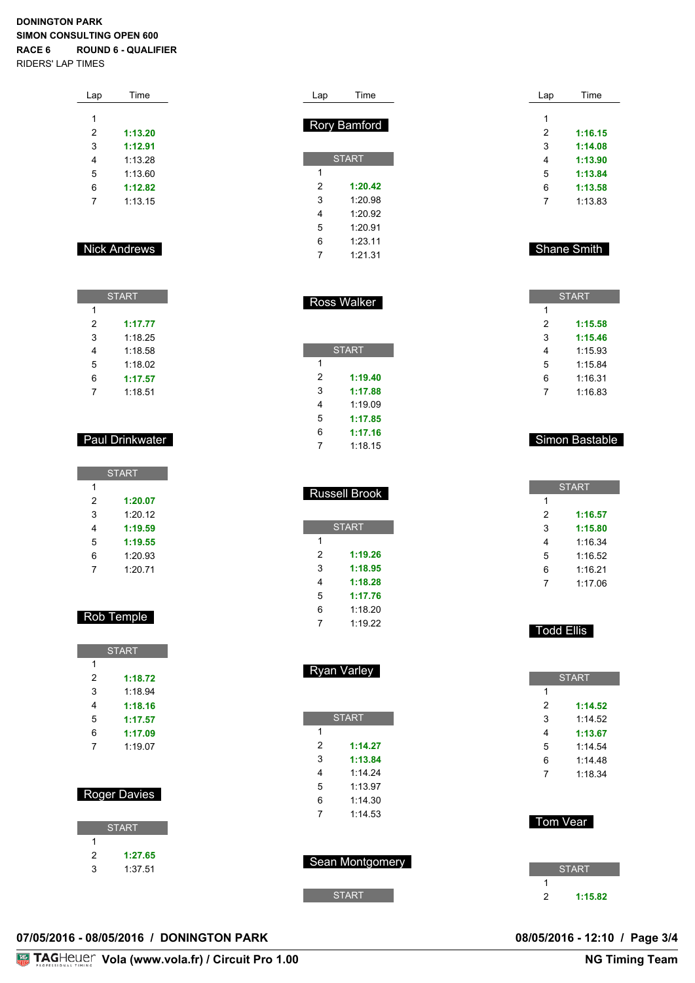| Lap | Time    |  |
|-----|---------|--|
|     |         |  |
| 1   |         |  |
| 2   | 1:13.20 |  |
| 3   | 1:12.91 |  |
| 4   | 1:13.28 |  |
| 5   | 1:13.60 |  |
| 6   | 1:12.82 |  |
| 7   | 1:13.15 |  |
|     |         |  |

#### Nick Andrews

| <b>START</b> |         |
|--------------|---------|
| 1            |         |
| 2            | 1:17.77 |
| 3            | 1:18.25 |
| 4            | 1:18.58 |
| 5            | 1:18.02 |
| 6            | 1:17.57 |
|              | 1:18.51 |

#### Paul Drinkwater

| <b>START</b> |         |
|--------------|---------|
| 1            |         |
| 2            | 1:20.07 |
| 3            | 1:2012  |
| 4            | 1:19.59 |
| 5            | 1:19.55 |
| 6            | 1:20.93 |
|              | 1:20.71 |

#### Rob Temple

| <b>START</b> |         |
|--------------|---------|
| 1            |         |
| 2            | 1:18.72 |
| 3            | 1:18.94 |
| 4            | 1:18.16 |
| 5            | 1:17.57 |
| 6            | 1:17.09 |
| 7            | 1.1907  |
|              |         |

#### Roger Davies

|   | <b>START</b> |
|---|--------------|
|   |              |
| 2 | 1:27.65      |
| З | 1:37.51      |

| Lap | Time                |
|-----|---------------------|
|     |                     |
|     | <b>Rory Bamford</b> |
|     | <b>START</b>        |
|     |                     |
| 1   |                     |
| 2   | 1:20.42             |
| 3   | 1:20.98             |
| 4   | 1:20.92             |
| 5   | 1:20.91             |
| 6   | 1:23.11             |
| 7   | 1:21.31             |

| G | 170.91       |
|---|--------------|
| 6 | 1:23.11      |
| 7 | 1:21.31      |
|   |              |
|   |              |
|   |              |
|   | Ross Walker  |
|   |              |
|   |              |
|   | <b>START</b> |
|   |              |
|   |              |
| - | .            |

| 2 | 1:19.40 |
|---|---------|
| 3 | 1:17.88 |
| 4 | 1:19.09 |
| 5 | 1:17.85 |
| 6 | 1:17.16 |
| 7 | 1:18.15 |

|   | <b>Russell Brook</b> |
|---|----------------------|
|   | <b>START</b>         |
| 1 |                      |
| 2 | 1:19.26              |
| 3 | 1:18.95              |
| 4 | 1:18.28              |
| 5 | 1:17.76              |
| 6 | 1:18.20              |
| 7 | 1:19.22              |

|   | <b>START</b> |
|---|--------------|
| 1 |              |
| 2 | 1:14.27      |
| 3 | 1:13.84      |
| 4 | 1.1424       |
| 5 | 1.13.97      |
| 6 | 1:14.30      |
| 7 | 1.14.53      |
|   |              |

Ryan Varley



| Lap | Time    |
|-----|---------|
|     |         |
| 1   |         |
| 2   | 1:16.15 |
| 3   | 1:14.08 |
| 4   | 1:13.90 |
| 5   | 1:13.84 |
| 6   | 1:13.58 |
| 7   | 1:13.83 |
|     |         |

#### Shane Smith

|   | <b>START</b> |
|---|--------------|
| 1 |              |
| 2 | 1:15.58      |
| 3 | 1:15.46      |
| 4 | 1:15.93      |
| 5 | 1:15.84      |
| 6 | 1:16.31      |
| 7 | 1:16.83      |

#### Simon Bastable

|   | <b>START</b> |
|---|--------------|
| 1 |              |
| 2 | 1:16.57      |
| 3 | 1:15.80      |
| 4 | 1:16.34      |
| 5 | 1.16.52      |
| 6 | 1:16.21      |
|   | 1:17.06      |

#### Todd Ellis

|   | <b>START</b> |
|---|--------------|
| 1 |              |
| 2 | 1:14.52      |
| 3 | 1.14.52      |
| 4 | 1:13.67      |
| 5 | 1:14.54      |
| 6 | 1.1448       |
| 7 | 1.18.34      |

#### Tom Vear

|   | <b>START</b> |
|---|--------------|
|   |              |
| 2 | 1:15.82      |

### **07/05/2016 - 08/05/2016 / DONINGTON PARK 08/05/2016 - 12:10 / Page 3/4**

08/05/2016 - 12:10 / Page 3/4<br>NG Timing Team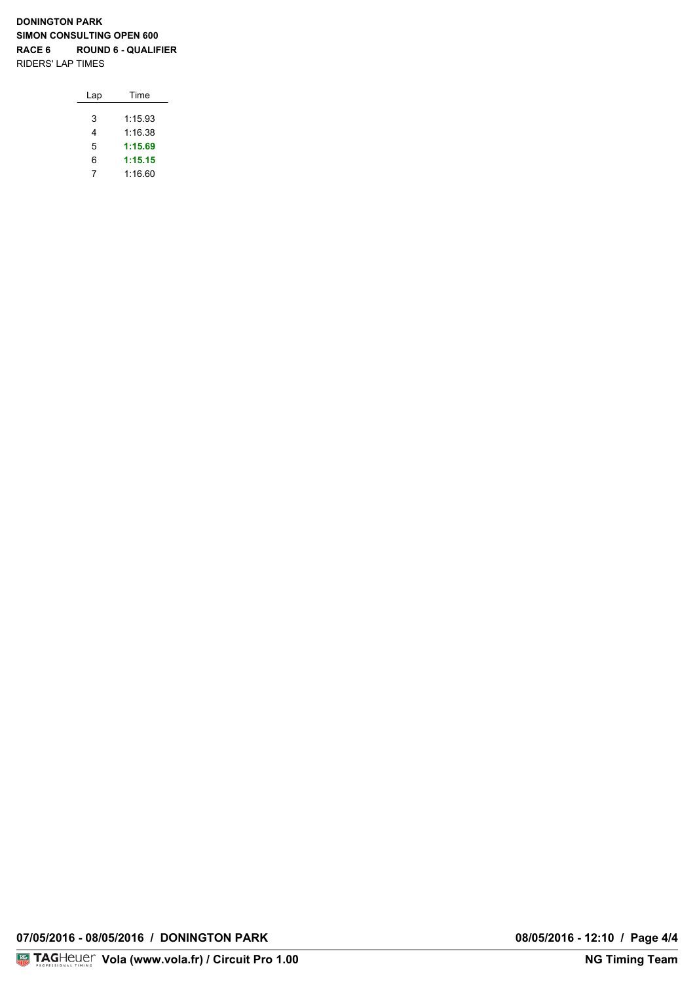| Lap | Time    |
|-----|---------|
|     |         |
| 3   | 1:15.93 |
| 4   | 1.16.38 |
| 5   | 1:15.69 |
| 6   | 1:15.15 |
|     | 1:16.60 |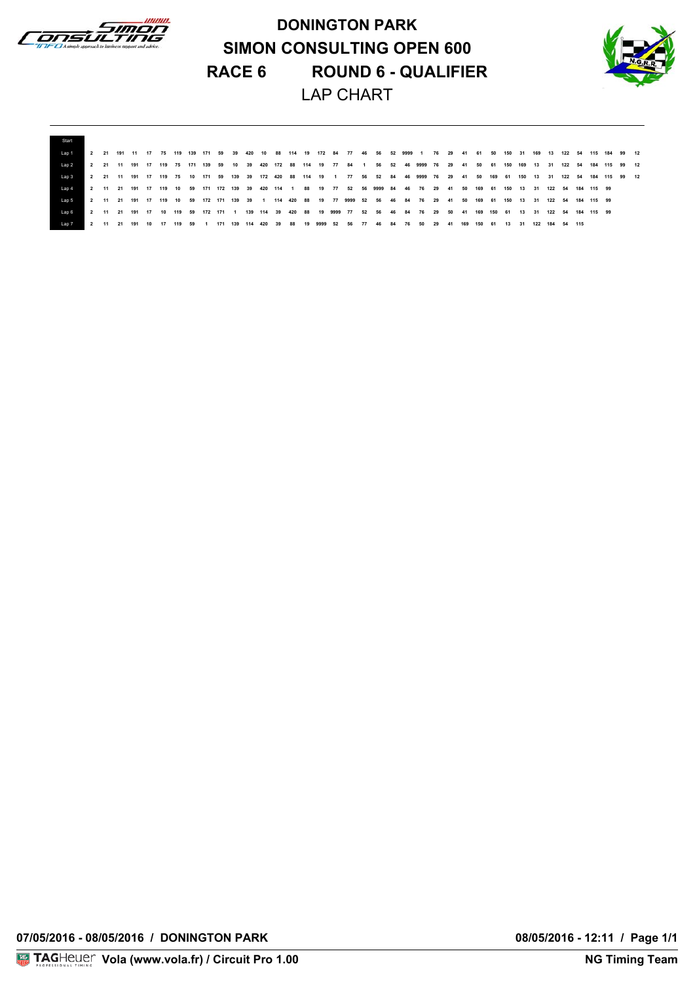

**DONINGTON PARK SIMON CONSULTING OPEN 600 RACE 6 ROUND 6 - QUALIFIER** LAP CHART



| Start      |           |  |     |    |      |     |    |     |     |     |     |    |    |    |  |               |                                                                                                                            |    |          |        |        |       |     |     |        |  |                                                                                                                                                                |  |
|------------|-----------|--|-----|----|------|-----|----|-----|-----|-----|-----|----|----|----|--|---------------|----------------------------------------------------------------------------------------------------------------------------|----|----------|--------|--------|-------|-----|-----|--------|--|----------------------------------------------------------------------------------------------------------------------------------------------------------------|--|
| Lap 1      |           |  |     |    |      |     |    |     |     |     |     |    |    |    |  |               |                                                                                                                            |    |          |        |        |       |     |     |        |  | ▌ 2  21 191 11 17 75 119 139 171 59  39 420 10  88 114 19 172  84  77  46  56  52 9999 1  76  29  41  61  50  150  150  160  160  18  122  54  115 184  99  12 |  |
| Lap 2      |           |  |     |    |      |     |    |     |     |     |     |    |    |    |  |               |                                                                                                                            |    |          |        |        |       |     |     |        |  | 2 21 11 191 17 119 75 171 139 59 10 39 420 172 88 114 19 77 84 1 56 52 46 9999 76 29 41 50 61 150 169 13 31 122 54 184 115 99 12                               |  |
| Lap 3      |           |  |     |    |      |     |    |     |     |     |     |    |    |    |  |               |                                                                                                                            |    |          |        |        |       |     |     |        |  | 2 21 11 191 17 119 75 10 171 59 139 39 172 420 88 114 19 1 77 56 52 84 46 9999 76 29 41 50 169 61 150 13 31 122 54 184 115 99 12                               |  |
| $1$ an $4$ |           |  |     |    |      |     |    |     |     |     |     |    |    |    |  |               | 2 11 21 191 17 119 10 59 171 172 139 39 420 114 1 88 19 77 52 56 9999 84 46 76 29 41 50 169 61 150 13 31 122 54 184 115 99 |    |          |        |        |       |     |     |        |  |                                                                                                                                                                |  |
| Lap 5      |           |  |     |    |      |     |    |     |     |     |     |    |    |    |  |               | 2 11 21 191 17 119 10 59 172 171 139 39 1 114 420 88 19 77 9999 52 56 46 84 76 29 41 50 169 61 150 13 31 122 54 184 115 99 |    |          |        |        |       |     |     |        |  |                                                                                                                                                                |  |
| Lap 6      |           |  |     |    |      |     |    |     |     |     |     |    |    |    |  |               | 2 11 21 191 17 10 119 59 172 171 1 139 114 39 420 88 19 9999 77 52 56 46 84 76 29 50 41 169 150 61 13 31 122 54 184 115 99 |    |          |        |        |       |     |     |        |  |                                                                                                                                                                |  |
| Lap 7      | $2 \t 11$ |  | 191 | 10 | - 17 | 119 | 59 | 171 | 139 | 114 | 420 | 39 | 88 | 19 |  | 9999 52 56 77 | 46                                                                                                                         | 84 | 76 50 29 | 41 169 | 150 61 | 13 31 | 122 | 184 | 54 115 |  |                                                                                                                                                                |  |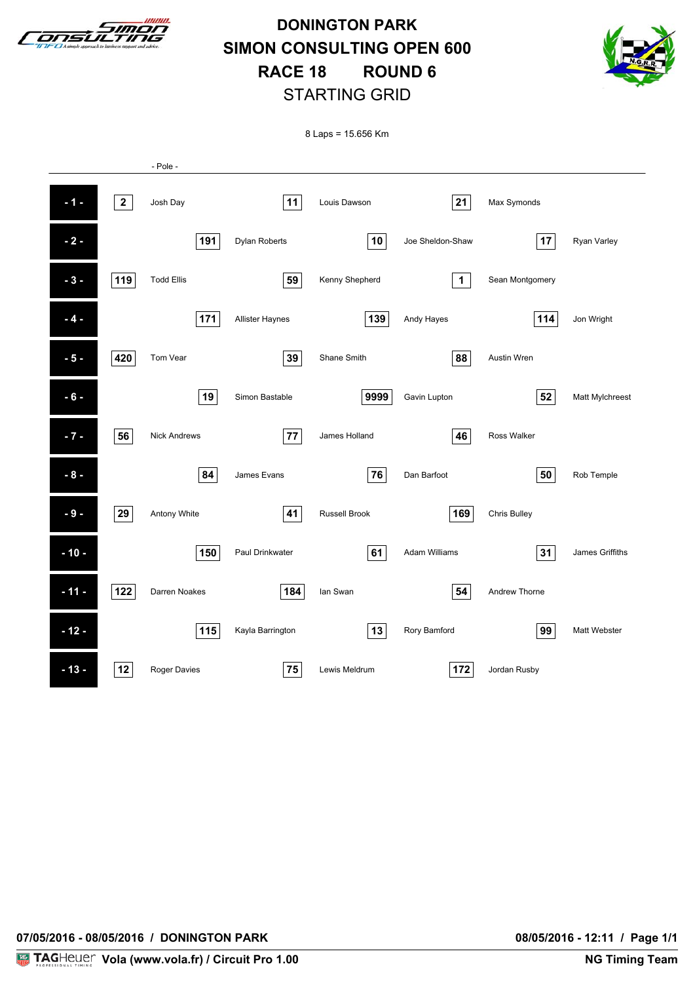

**DONINGTON PARK SIMON CONSULTING OPEN 600 RACE 18 ROUND 6** STARTING GRID



8 Laps = 15.656 Km

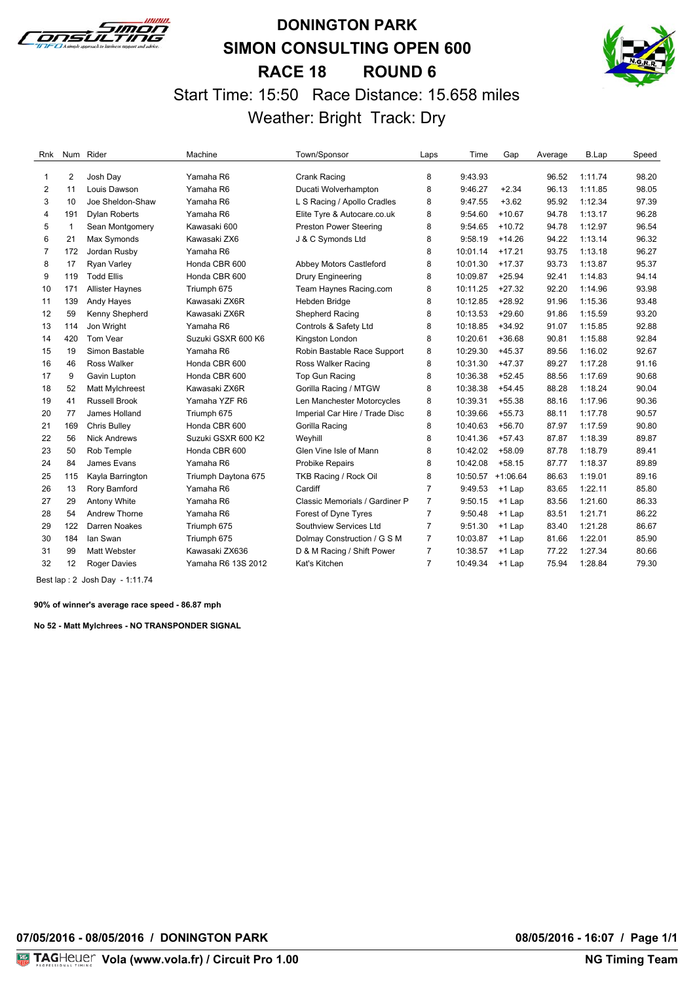

### **DONINGTON PARK SIMON CONSULTING OPEN 600 RACE 18 ROUND 6** Start Time: 15:50 Race Distance: 15.658 miles Weather: Bright Track: Dry



| Rnk            |              | Num Rider              | Machine             | Town/Sponsor                   | Laps           | Time              | Gap      | Average | B.Lap   | Speed |
|----------------|--------------|------------------------|---------------------|--------------------------------|----------------|-------------------|----------|---------|---------|-------|
| 1              | 2            | Josh Day               | Yamaha R6           | Crank Racing                   | 8              | 9:43.93           |          | 96.52   | 1:11.74 | 98.20 |
| $\overline{2}$ | 11           | Louis Dawson           | Yamaha R6           | Ducati Wolverhampton           | 8              | 9:46.27           | $+2.34$  | 96.13   | 1:11.85 | 98.05 |
| 3              | 10           | Joe Sheldon-Shaw       | Yamaha R6           | L S Racing / Apollo Cradles    | 8              | 9:47.55           | $+3.62$  | 95.92   | 1:12.34 | 97.39 |
| 4              | 191          | <b>Dylan Roberts</b>   | Yamaha R6           | Elite Tyre & Autocare.co.uk    | 8              | 9:54.60           | $+10.67$ | 94.78   | 1:13.17 | 96.28 |
| 5              | $\mathbf{1}$ | Sean Montgomery        | Kawasaki 600        | <b>Preston Power Steering</b>  | 8              | 9:54.65           | $+10.72$ | 94.78   | 1:12.97 | 96.54 |
| 6              | 21           | Max Symonds            | Kawasaki ZX6        | J & C Symonds Ltd              | 8              | 9:58.19           | $+14.26$ | 94.22   | 1:13.14 | 96.32 |
| $\overline{7}$ | 172          | Jordan Rusby           | Yamaha R6           |                                | 8              | 10:01.14          | $+17.21$ | 93.75   | 1:13.18 | 96.27 |
| 8              | 17           | <b>Ryan Varley</b>     | Honda CBR 600       | Abbey Motors Castleford        | 8              | 10:01.30          | $+17.37$ | 93.73   | 1:13.87 | 95.37 |
| 9              | 119          | <b>Todd Ellis</b>      | Honda CBR 600       | <b>Drury Engineering</b>       | 8              | 10:09.87          | $+25.94$ | 92.41   | 1:14.83 | 94.14 |
| 10             | 171          | <b>Allister Haynes</b> | Triumph 675         | Team Haynes Racing.com         | 8              | 10:11.25          | $+27.32$ | 92.20   | 1:14.96 | 93.98 |
| 11             | 139          | Andy Hayes             | Kawasaki ZX6R       | Hebden Bridge                  | 8              | 10:12.85          | $+28.92$ | 91.96   | 1:15.36 | 93.48 |
| 12             | 59           | Kenny Shepherd         | Kawasaki ZX6R       | Shepherd Racing                | 8              | 10:13.53          | $+29.60$ | 91.86   | 1:15.59 | 93.20 |
| 13             | 114          | Jon Wright             | Yamaha R6           | Controls & Safety Ltd          | 8              | 10:18.85          | $+34.92$ | 91.07   | 1:15.85 | 92.88 |
| 14             | 420          | Tom Vear               | Suzuki GSXR 600 K6  | Kingston London                | 8              | 10:20.61          | $+36.68$ | 90.81   | 1:15.88 | 92.84 |
| 15             | 19           | Simon Bastable         | Yamaha R6           | Robin Bastable Race Support    | 8              | 10:29.30          | $+45.37$ | 89.56   | 1:16.02 | 92.67 |
| 16             | 46           | <b>Ross Walker</b>     | Honda CBR 600       | Ross Walker Racing             | 8              | 10:31.30          | $+47.37$ | 89.27   | 1:17.28 | 91.16 |
| 17             | 9            | Gavin Lupton           | Honda CBR 600       | Top Gun Racing                 | 8              | 10:36.38          | $+52.45$ | 88.56   | 1:17.69 | 90.68 |
| 18             | 52           | <b>Matt Mylchreest</b> | Kawasaki ZX6R       | Gorilla Racing / MTGW          | 8              | 10:38.38          | $+54.45$ | 88.28   | 1:18.24 | 90.04 |
| 19             | 41           | <b>Russell Brook</b>   | Yamaha YZF R6       | Len Manchester Motorcycles     | 8              | 10:39.31          | $+55.38$ | 88.16   | 1:17.96 | 90.36 |
| 20             | 77           | James Holland          | Triumph 675         | Imperial Car Hire / Trade Disc | 8              | 10:39.66          | $+55.73$ | 88.11   | 1:17.78 | 90.57 |
| 21             | 169          | <b>Chris Bulley</b>    | Honda CBR 600       | Gorilla Racing                 | 8              | 10:40.63          | $+56.70$ | 87.97   | 1:17.59 | 90.80 |
| 22             | 56           | <b>Nick Andrews</b>    | Suzuki GSXR 600 K2  | Weyhill                        | 8              | 10:41.36          | $+57.43$ | 87.87   | 1:18.39 | 89.87 |
| 23             | 50           | Rob Temple             | Honda CBR 600       | Glen Vine Isle of Mann         | 8              | 10:42.02          | $+58.09$ | 87.78   | 1:18.79 | 89.41 |
| 24             | 84           | James Evans            | Yamaha R6           | Probike Repairs                | 8              | 10:42.08          | $+58.15$ | 87.77   | 1:18.37 | 89.89 |
| 25             | 115          | Kayla Barrington       | Triumph Daytona 675 | TKB Racing / Rock Oil          | 8              | 10:50.57 +1:06.64 |          | 86.63   | 1:19.01 | 89.16 |
| 26             | 13           | Rory Bamford           | Yamaha R6           | Cardiff                        | $\overline{7}$ | 9:49.53           | $+1$ Lap | 83.65   | 1:22.11 | 85.80 |
| 27             | 29           | Antony White           | Yamaha R6           | Classic Memorials / Gardiner P | $\overline{7}$ | 9:50.15           | $+1$ Lap | 83.56   | 1:21.60 | 86.33 |
| 28             | 54           | Andrew Thorne          | Yamaha R6           | Forest of Dyne Tyres           | $\overline{7}$ | 9:50.48           | $+1$ Lap | 83.51   | 1:21.71 | 86.22 |
| 29             | 122          | Darren Noakes          | Triumph 675         | Southview Services Ltd         | $\overline{7}$ | 9:51.30           | $+1$ Lap | 83.40   | 1:21.28 | 86.67 |
| 30             | 184          | lan Swan               | Triumph 675         | Dolmay Construction / G S M    | $\overline{7}$ | 10:03.87          | $+1$ Lap | 81.66   | 1:22.01 | 85.90 |
| 31             | 99           | <b>Matt Webster</b>    | Kawasaki ZX636      | D & M Racing / Shift Power     | $\overline{7}$ | 10:38.57          | $+1$ Lap | 77.22   | 1:27.34 | 80.66 |
| 32             | 12           | <b>Roger Davies</b>    | Yamaha R6 13S 2012  | Kat's Kitchen                  | $\overline{7}$ | 10:49.34          | $+1$ Lap | 75.94   | 1:28.84 | 79.30 |

Best lap : 2 Josh Day - 1:11.74

**90% of winner's average race speed - 86.87 mph**

**No 52 - Matt Mylchrees - NO TRANSPONDER SIGNAL**

**07/05/2016 - 08/05/2016 / DONINGTON PARK 08/05/2016 - 16:07 / Page 1/1**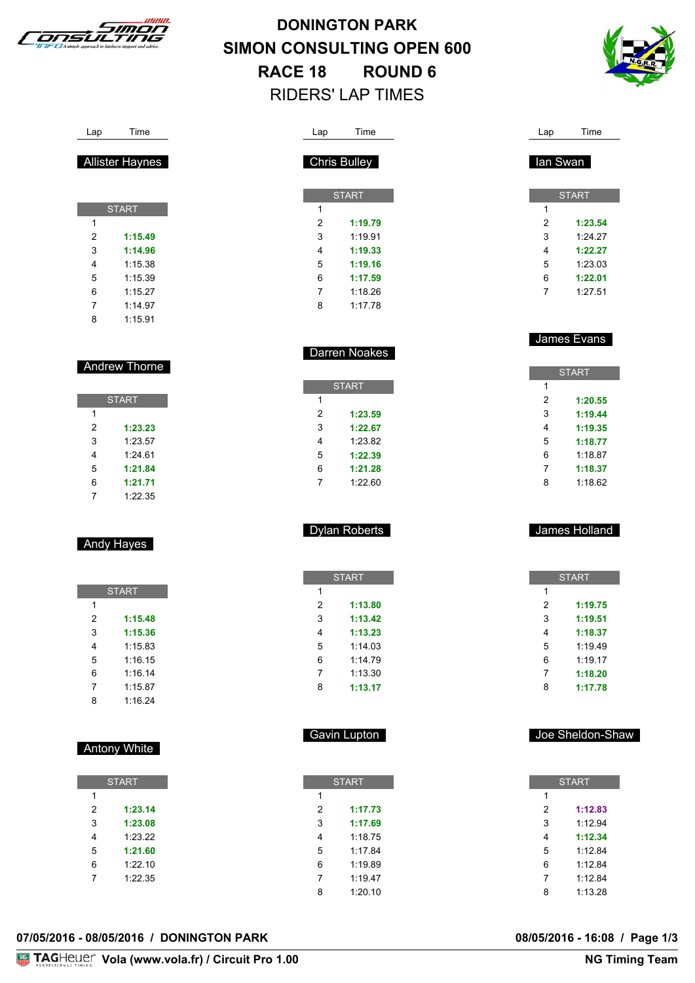



| Lap            | Time                 |  | Lap                     | Time               |
|----------------|----------------------|--|-------------------------|--------------------|
|                | <b>Chris Bulley</b>  |  | lan Swan                |                    |
|                | <b>START</b>         |  |                         | <b>START</b>       |
| 1              |                      |  | 1                       |                    |
| $\overline{2}$ | 1:19.79              |  | 2                       | 1:23.54            |
| 3              | 1:19.91              |  | 3                       | 1:24.27            |
| 4              | 1:19.33              |  | 4                       | 1:22.27            |
| 5              | 1:19.16              |  | 5                       | 1:23.03            |
| 6              | 1:17.59              |  | 6                       | 1:22.01            |
| 7              | 1:18.26              |  | 7                       | 1:27.51            |
| 8              | 1:17.78              |  |                         |                    |
|                |                      |  |                         | James Evans        |
|                | Darren Noakes        |  |                         |                    |
|                |                      |  |                         | <b>START</b>       |
|                | <b>START</b>         |  | 1                       |                    |
| 1              |                      |  | 2                       | 1:20.55            |
| 2              | 1:23.59              |  | 3                       | 1:19.44            |
| 3              | 1:22.67              |  | 4                       | 1:19.35            |
| 4              | 1:23.82              |  | 5                       | 1:18.77            |
| 5              | 1:22.39              |  | 6                       | 1:18.87            |
| 6<br>7         | 1:21.28<br>1:22.60   |  | 7<br>8                  | 1:18.37<br>1:18.62 |
|                | <b>Dylan Roberts</b> |  |                         | James Holland      |
|                |                      |  |                         |                    |
|                | <b>START</b>         |  |                         | <b>START</b>       |
| 1              |                      |  | 1                       |                    |
| 2              | 1:13.80              |  | 2                       | 1:19.75            |
| 3              | 1:13.42              |  | 3                       | 1:19.51            |
| 4              | 1:13.23              |  | 4                       | 1:18.37            |
| 5              | 1:14.03              |  | 5                       | 1:19.49            |
| 6              | 1:14.79              |  | 6                       | 1:19.17            |
| 7              | 1:13.30              |  | 7                       | 1:18.20            |
| 8              | 1:13.17              |  | 8                       | 1:17.78            |
|                | Gavin Lupton         |  |                         | Joe Sheldon-Shaw   |
|                |                      |  |                         |                    |
| 1              | <b>START</b>         |  | 1                       | <b>START</b>       |
| $\mathbf 2$    | 1:17.73              |  | $\overline{\mathbf{c}}$ | 1:12.83            |
| 3              | 1:17.69              |  | 3                       | 1:12.94            |
| 4              | 1:18.75              |  | 4                       | 1:12.34            |
| 5              | 1:17.84              |  | 5                       | 1:12.84            |
| 6              |                      |  |                         |                    |
|                | 1:19.89              |  |                         | 1:12.84            |
|                |                      |  | 6                       |                    |
| 7<br>8         | 1:19.47<br>1:20.10   |  | $\overline{7}$<br>8     | 1:12.84<br>1:13.28 |

| Lap |  | Time |
|-----|--|------|
|-----|--|------|

#### Allister Haynes

| <b>START</b> |         |
|--------------|---------|
| 1            |         |
| 2            | 1:15.49 |
| 3            | 1:14.96 |
| 4            | 1:15.38 |
| 5            | 1:15.39 |
| 6            | 1:15.27 |
| 7            | 1:14.97 |
| 8            | 1:15.91 |

#### Andrew Thorne

| <b>START</b> |         |
|--------------|---------|
| 1            |         |
| 2            | 1:23.23 |
| 3            | 1:23.57 |
| 4            | 1:2461  |
| 5            | 1:21.84 |
| 6            | 1:21.71 |
| 7            | 1:22.35 |

#### Andy Hayes

| <b>START</b> |         |
|--------------|---------|
| 1            |         |
| 2            | 1:15.48 |
| 3            | 1:15.36 |
| 4            | 1:15.83 |
| 5            | 1:16.15 |
| 6            | 1:16.14 |
| 7            | 1:15.87 |
| 8            | 1:16.24 |

#### Antony White

**START** 

 **1:23.14 1:23.08** 1:23.22 **1:21.60** 1:22.10 1:22.35

| 07/05/2016 - 08/05/2016 / DONINGTON PARK | 08/05/2016 - 16:08 / Page 1/3 |  |
|------------------------------------------|-------------------------------|--|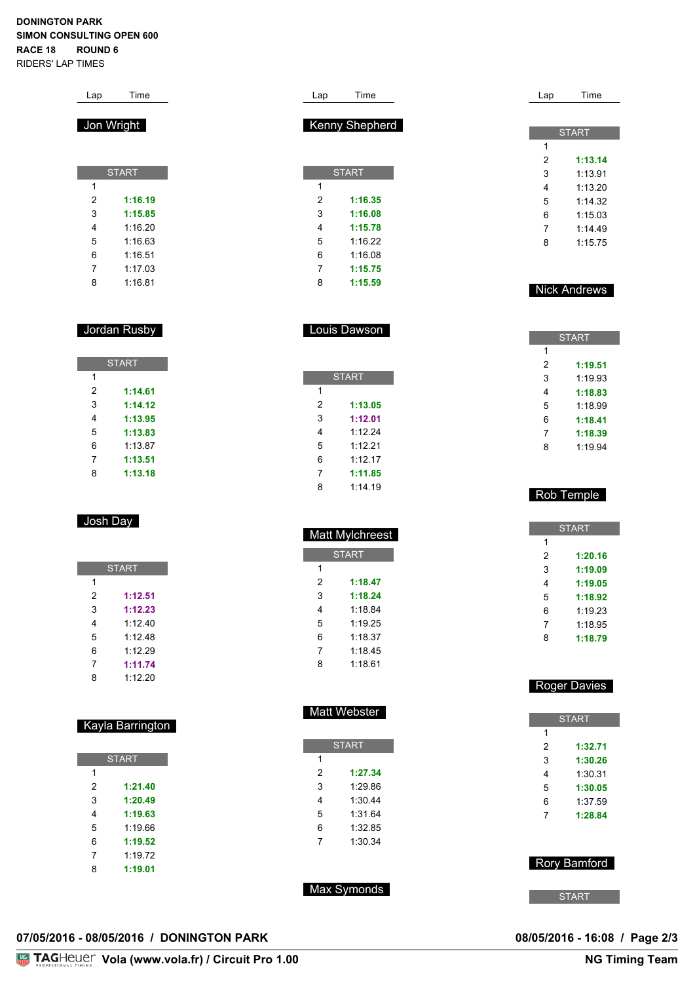| Lap                          | Time               | Time<br>Lap                                          | Lap                   | Time                |
|------------------------------|--------------------|------------------------------------------------------|-----------------------|---------------------|
|                              |                    |                                                      |                       |                     |
|                              | Jon Wright         | Kenny Shepherd                                       |                       | <b>START</b>        |
|                              |                    |                                                      | 1                     |                     |
|                              | <b>START</b>       | <b>START</b>                                         | $\overline{c}$<br>3   | 1:13.14<br>1:13.91  |
| 1                            |                    | 1                                                    | 4                     | 1:13.20             |
| 2                            | 1:16.19            | $\overline{\mathbf{c}}$<br>1:16.35                   | 5                     | 1:14.32             |
| 3                            | 1:15.85            | 3<br>1:16.08                                         | 6                     | 1:15.03             |
| 4                            | 1:16.20            | 4<br>1:15.78                                         | 7                     | 1:14.49             |
| 5                            | 1:16.63            | 5<br>1:16.22                                         | 8                     | 1:15.75             |
| 6                            | 1:16.51            | 6<br>1:16.08                                         |                       |                     |
| 7                            | 1:17.03            | 7<br>1:15.75                                         |                       |                     |
| 8                            | 1:16.81            | 8<br>1:15.59                                         |                       | <b>Nick Andrews</b> |
|                              | Jordan Rusby       | Louis Dawson                                         |                       | <b>START</b>        |
|                              |                    |                                                      | 1                     |                     |
|                              | <b>START</b>       |                                                      | 2                     | 1:19.51             |
| 1                            |                    | <b>START</b>                                         | 3                     | 1:19.93             |
| 2                            | 1:14.61            | $\mathbf{1}$                                         | 4                     | 1:18.83             |
| 3                            | 1:14.12            | $\overline{\mathbf{c}}$<br>1:13.05                   | 5                     | 1:18.99             |
| 4                            | 1:13.95            | 3<br>1:12.01                                         | 6                     | 1:18.41             |
| 5<br>6                       | 1:13.83<br>1:13.87 | 4<br>1:12.24<br>5<br>1:12.21                         | 7                     | 1:18.39             |
| 7                            | 1:13.51            | 6<br>1:12.17                                         | 8                     | 1:19.94             |
| 8                            | 1:13.18            | 7<br>1:11.85                                         |                       |                     |
|                              |                    | 8<br>1:14.19                                         |                       |                     |
|                              |                    |                                                      |                       | Rob Temple          |
|                              | Josh Day           |                                                      |                       | <b>START</b>        |
|                              |                    | <b>Matt Mylchreest</b>                               | 1                     |                     |
|                              |                    | <b>START</b>                                         | 2                     | 1:20.16             |
|                              | <b>START</b>       | $\mathbf{1}$                                         | 3                     | 1:19.09             |
| 1                            |                    | $\overline{2}$<br>1:18.47                            | 4                     | 1:19.05             |
| 2                            | 1:12.51<br>1:12.23 | 3<br>1:18.24                                         | 5                     | 1:18.92             |
| 3<br>4                       | 1:12.40            | 1:18.84<br>4<br>1:19.25<br>5                         | 6<br>$\boldsymbol{7}$ | 1:19.23             |
| 5                            | 1:12.48            | 6<br>1:18.37                                         | 8                     | 1:18.95<br>1:18.79  |
| 6                            | 1:12.29            | $\overline{7}$<br>1:18.45                            |                       |                     |
| $\overline{7}$               | 1:11.74            | 8<br>1:18.61                                         |                       |                     |
| 8                            | 1:12.20            |                                                      |                       | <b>Roger Davies</b> |
|                              |                    | Matt Webster                                         |                       | <b>START</b>        |
|                              | Kayla Barrington   |                                                      | $\mathbf{1}$          |                     |
|                              |                    | <b>START</b>                                         | $\boldsymbol{2}$      | 1:32.71             |
|                              | <b>START</b>       | $\mathbf 1$                                          | 3                     | 1:30.26             |
| $\mathbf{1}$                 |                    | $\boldsymbol{2}$<br>1:27.34                          | 4                     | 1:30.31             |
| $\overline{\mathbf{c}}$<br>3 | 1:21.40<br>1:20.49 | $\ensuremath{\mathsf{3}}$<br>1:29.86<br>4<br>1:30.44 | 5<br>6                | 1:30.05             |
| 4                            | 1:19.63            | 5<br>1:31.64                                         | $\overline{7}$        | 1:37.59<br>1:28.84  |
| 5                            | 1:19.66            | 6<br>1:32.85                                         |                       |                     |
| 6                            | 1:19.52            | $\overline{7}$<br>1:30.34                            |                       |                     |
| $\overline{7}$               | 1:19.72            |                                                      |                       |                     |
| 8                            | 1:19.01            |                                                      |                       | Rory Bamford        |
|                              |                    |                                                      |                       |                     |
|                              |                    | Max Symonds                                          |                       | <b>START</b>        |

#### **07/05/2016 - 08/05/2016 / DONINGTON PARK 08/05/2016 - 16:08 / Page 2/3**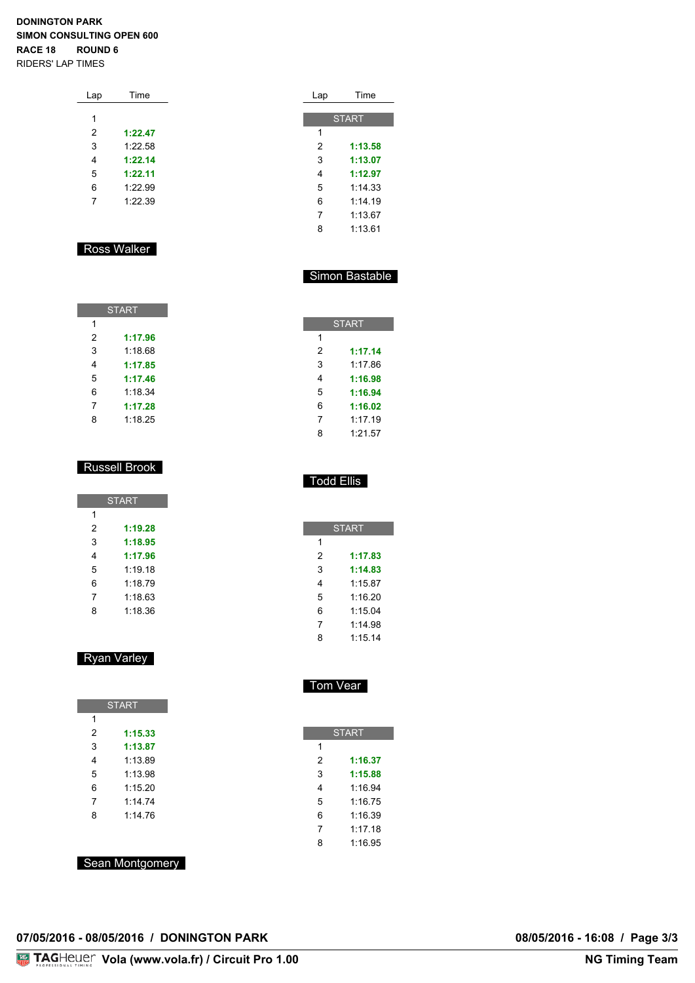| Lap | Time    |  |
|-----|---------|--|
|     |         |  |
| 1   |         |  |
| 2   | 1:22.47 |  |
| 3   | 1:22.58 |  |
| 4   | 1:22.14 |  |
| 5   | 1:22.11 |  |
| 6   | 1:22.99 |  |
| 7   | 1.22.39 |  |
|     |         |  |

#### Ross Walker

| <b>START</b> |         |
|--------------|---------|
| 1            |         |
| 2            | 1:17.96 |
| 3            | 1:18.68 |
| 4            | 1:17.85 |
| 5            | 1:17.46 |
| 6            | 1:18.34 |
| 7            | 1:17.28 |
| 8            | 1:18.25 |

#### Russell Brook

| <b>START</b> |         |
|--------------|---------|
| 1            |         |
| 2            | 1:19.28 |
| 3            | 1:18.95 |
| 4            | 1:17.96 |
| 5            | 1.1918  |
| 6            | 1:18.79 |
| 7            | 1:18.63 |
| 8            | 1:18.36 |

#### Ryan Varley

|   | <b>START</b> |
|---|--------------|
| 1 |              |
| 2 | 1:15.33      |
| 3 | 1:13.87      |
| 4 | 1:13.89      |
| 5 | 1:13.98      |
| 6 | 1:15.20      |
| 7 | 1:14.74      |
| 8 | 1.1476       |

| Lap | Time         |
|-----|--------------|
|     |              |
|     | <b>START</b> |
| 1   |              |
| 2   | 1:13.58      |
| 3   | 1:13.07      |
| 4   | 1:12.97      |
| 5   | 1.14.33      |
| 6   | 1.1419       |
| 7   | 1.1367       |
| 8   | 1:13.61      |

#### Simon Bastable

| <b>START</b> |         |
|--------------|---------|
| 1            |         |
| 2            | 1:17.14 |
| 3            | 1:17 86 |
| 4            | 1:16.98 |
| 5            | 1:16.94 |
| 6            | 1:16.02 |
| 7            | 1:17.19 |
| Զ            | 1:21.57 |

#### Todd Ellis

|   | <b>START</b> |
|---|--------------|
| 1 |              |
| 2 | 1:17.83      |
| 3 | 1:14.83      |
| 4 | 1:15.87      |
| 5 | 1.1620       |
| 6 | 1:15.04      |
| 7 | 1.1498       |
| ጸ | 1.1514       |

#### Tom Vear

| <b>START</b> |         |  |  |  |  |  |  |  |  |  |
|--------------|---------|--|--|--|--|--|--|--|--|--|
| 1            |         |  |  |  |  |  |  |  |  |  |
| 2            | 1:16.37 |  |  |  |  |  |  |  |  |  |
| 3            | 1:15.88 |  |  |  |  |  |  |  |  |  |
| 4            | 1:16.94 |  |  |  |  |  |  |  |  |  |
| 5            | 1:16.75 |  |  |  |  |  |  |  |  |  |
| 6            | 1:16.39 |  |  |  |  |  |  |  |  |  |
| 7            | 1:17.18 |  |  |  |  |  |  |  |  |  |
| 8            | 1:16.95 |  |  |  |  |  |  |  |  |  |

Sean Montgomery

#### **07/05/2016 - 08/05/2016 / DONINGTON PARK 08/05/2016 - 16:08 / Page 3/3**